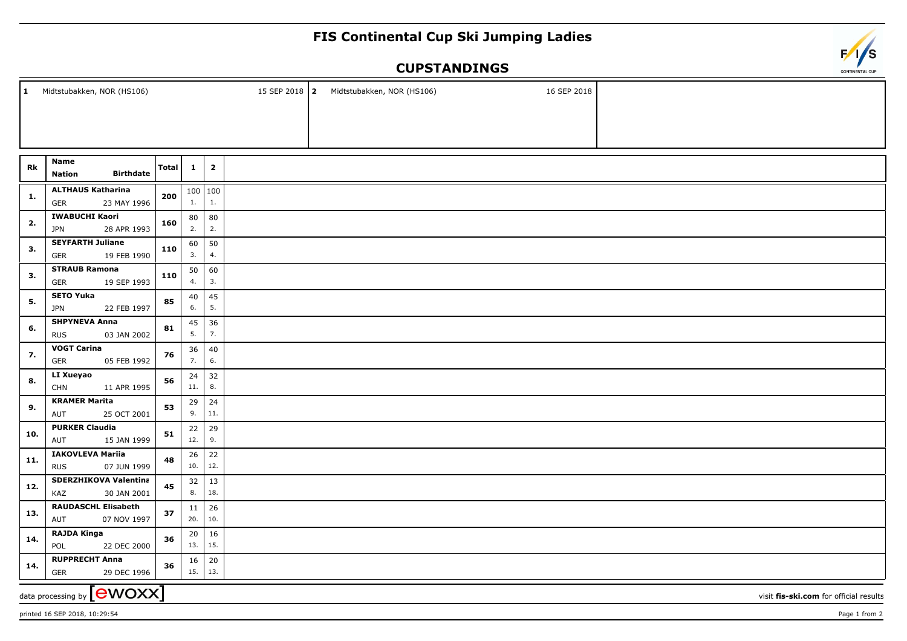## **FIS Continental Cup Ski Jumping Ladies**

## **CUPSTANDINGS**

| $\mathbf{1}$                                                                | Midtstubakken, NOR (HS106)                            |              |              |                         |  |  | 15 SEP 2018   2 Midtstubakken, NOR (HS106) | 16 SEP 2018 |  |
|-----------------------------------------------------------------------------|-------------------------------------------------------|--------------|--------------|-------------------------|--|--|--------------------------------------------|-------------|--|
|                                                                             |                                                       |              |              |                         |  |  |                                            |             |  |
|                                                                             |                                                       |              |              |                         |  |  |                                            |             |  |
|                                                                             |                                                       |              |              |                         |  |  |                                            |             |  |
|                                                                             | Name                                                  |              |              |                         |  |  |                                            |             |  |
| Rk                                                                          | <b>Birthdate</b><br><b>Nation</b>                     | <b>Total</b> | $\mathbf{1}$ | $\overline{\mathbf{2}}$ |  |  |                                            |             |  |
| 1.                                                                          | <b>ALTHAUS Katharina</b><br>23 MAY 1996<br><b>GER</b> | 200          | 1.           | 100   100<br>1.         |  |  |                                            |             |  |
| 2.                                                                          | <b>IWABUCHI Kaori</b>                                 | 160          | 80           | 80                      |  |  |                                            |             |  |
|                                                                             | 28 APR 1993<br><b>JPN</b>                             |              | 2.           | 2.                      |  |  |                                            |             |  |
| 3.                                                                          | <b>SEYFARTH Juliane</b><br>19 FEB 1990<br>GER         | 110          | 60<br>3.     | 50<br>4.                |  |  |                                            |             |  |
| 3.                                                                          | <b>STRAUB Ramona</b>                                  | 110          | 50           | 60                      |  |  |                                            |             |  |
|                                                                             | 19 SEP 1993<br>GER<br><b>SETO Yuka</b>                |              | 4.           | 3.                      |  |  |                                            |             |  |
| 5.                                                                          | <b>JPN</b><br>22 FEB 1997                             | 85           | 40<br>6.     | 45<br>5.                |  |  |                                            |             |  |
|                                                                             | <b>SHPYNEVA Anna</b>                                  | 81           | 45           | 36                      |  |  |                                            |             |  |
| 6.                                                                          | <b>RUS</b><br>03 JAN 2002                             |              | 5.           | 7.                      |  |  |                                            |             |  |
| 7.                                                                          | <b>VOGT Carina</b><br>GER<br>05 FEB 1992              | 76           | 36<br>7.     | 40<br>6.                |  |  |                                            |             |  |
| 8.                                                                          | LI Xueyao                                             | 56           | 24           | 32                      |  |  |                                            |             |  |
|                                                                             | <b>CHN</b><br>11 APR 1995                             |              | 11.          | 8.                      |  |  |                                            |             |  |
| 9.                                                                          | <b>KRAMER Marita</b><br>53<br>AUT<br>25 OCT 2001      |              | 29<br>9.     | 24<br>$11.$             |  |  |                                            |             |  |
|                                                                             | <b>PURKER Claudia</b>                                 |              | 22           | 29                      |  |  |                                            |             |  |
| 10.                                                                         | AUT<br>15 JAN 1999                                    | 51           | 12.          | 9.                      |  |  |                                            |             |  |
| 11.                                                                         | <b>IAKOVLEVA Mariia</b>                               | 48           | 26           | 22                      |  |  |                                            |             |  |
|                                                                             | 07 JUN 1999<br><b>RUS</b>                             |              | 10.          | 12.                     |  |  |                                            |             |  |
| 12.                                                                         | <b>SDERZHIKOVA Valentina</b><br>KAZ<br>30 JAN 2001    |              | 32<br>8.     | 13<br>18.               |  |  |                                            |             |  |
| 13.                                                                         | <b>RAUDASCHL Elisabeth</b><br>07 NOV 1997<br>AUT      | 37           | 11<br>20.    | 26<br>10.               |  |  |                                            |             |  |
| 14.                                                                         | <b>RAJDA Kinga</b>                                    | 36           | 20           | 16                      |  |  |                                            |             |  |
|                                                                             | POL<br>22 DEC 2000                                    |              | 13.          | 15.                     |  |  |                                            |             |  |
| 14.                                                                         | <b>RUPPRECHT Anna</b><br>GER<br>29 DEC 1996           | 36           | 16<br>15.    | $20\,$<br>13.           |  |  |                                            |             |  |
| data processing by <b>[CWOXX]</b><br>visit fis-ski.com for official results |                                                       |              |              |                         |  |  |                                            |             |  |